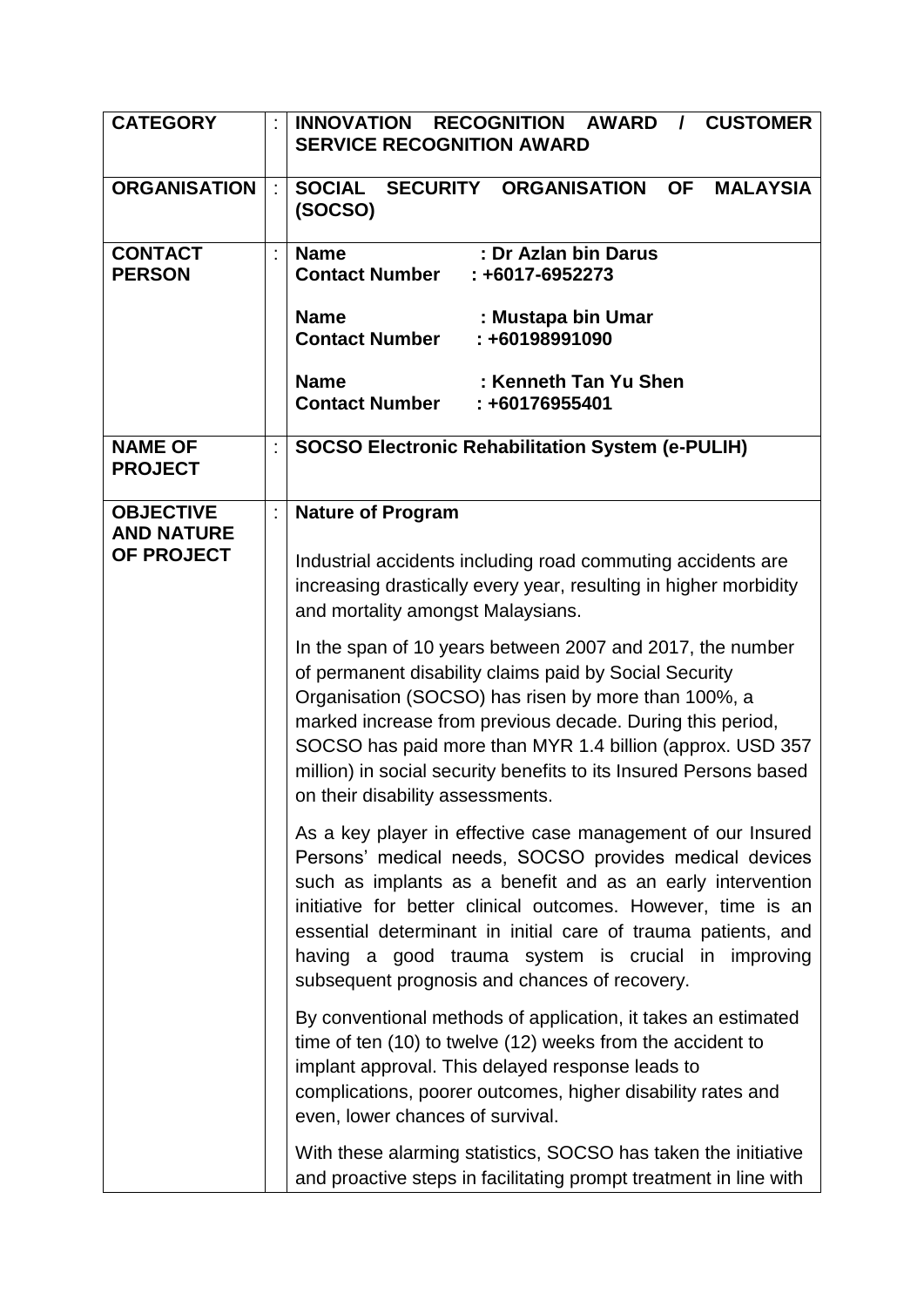| <b>CATEGORY</b>                  |    | <b>INNOVATION</b><br><b>RECOGNITION AWARD</b><br><b>CUSTOMER</b><br>$\mathcal{L}$<br><b>SERVICE RECOGNITION AWARD</b>                                                                                                                                                                                                                                                                                                        |
|----------------------------------|----|------------------------------------------------------------------------------------------------------------------------------------------------------------------------------------------------------------------------------------------------------------------------------------------------------------------------------------------------------------------------------------------------------------------------------|
| <b>ORGANISATION</b>              | ÷  | SOCIAL SECURITY ORGANISATION<br><b>OF</b><br><b>MALAYSIA</b><br>(SOCSO)                                                                                                                                                                                                                                                                                                                                                      |
| <b>CONTACT</b><br><b>PERSON</b>  | ÷  | : Dr Azlan bin Darus<br><b>Name</b><br><b>Contact Number</b><br>$: +6017 - 6952273$                                                                                                                                                                                                                                                                                                                                          |
|                                  |    | <b>Name</b><br>: Mustapa bin Umar<br><b>Contact Number</b><br>: +60198991090                                                                                                                                                                                                                                                                                                                                                 |
|                                  |    | : Kenneth Tan Yu Shen<br><b>Name</b><br><b>Contact Number</b><br>: +60176955401                                                                                                                                                                                                                                                                                                                                              |
| <b>NAME OF</b><br><b>PROJECT</b> | ÷  | <b>SOCSO Electronic Rehabilitation System (e-PULIH)</b>                                                                                                                                                                                                                                                                                                                                                                      |
| <b>OBJECTIVE</b>                 | t, | <b>Nature of Program</b>                                                                                                                                                                                                                                                                                                                                                                                                     |
| <b>AND NATURE</b><br>OF PROJECT  |    | Industrial accidents including road commuting accidents are<br>increasing drastically every year, resulting in higher morbidity<br>and mortality amongst Malaysians.                                                                                                                                                                                                                                                         |
|                                  |    | In the span of 10 years between 2007 and 2017, the number<br>of permanent disability claims paid by Social Security<br>Organisation (SOCSO) has risen by more than 100%, a<br>marked increase from previous decade. During this period,<br>SOCSO has paid more than MYR 1.4 billion (approx. USD 357<br>million) in social security benefits to its Insured Persons based<br>on their disability assessments.                |
|                                  |    | As a key player in effective case management of our Insured<br>Persons' medical needs, SOCSO provides medical devices<br>such as implants as a benefit and as an early intervention<br>initiative for better clinical outcomes. However, time is an<br>essential determinant in initial care of trauma patients, and<br>having a good trauma system is crucial in improving<br>subsequent prognosis and chances of recovery. |
|                                  |    | By conventional methods of application, it takes an estimated<br>time of ten (10) to twelve (12) weeks from the accident to<br>implant approval. This delayed response leads to<br>complications, poorer outcomes, higher disability rates and<br>even, lower chances of survival.                                                                                                                                           |
|                                  |    | With these alarming statistics, SOCSO has taken the initiative<br>and proactive steps in facilitating prompt treatment in line with                                                                                                                                                                                                                                                                                          |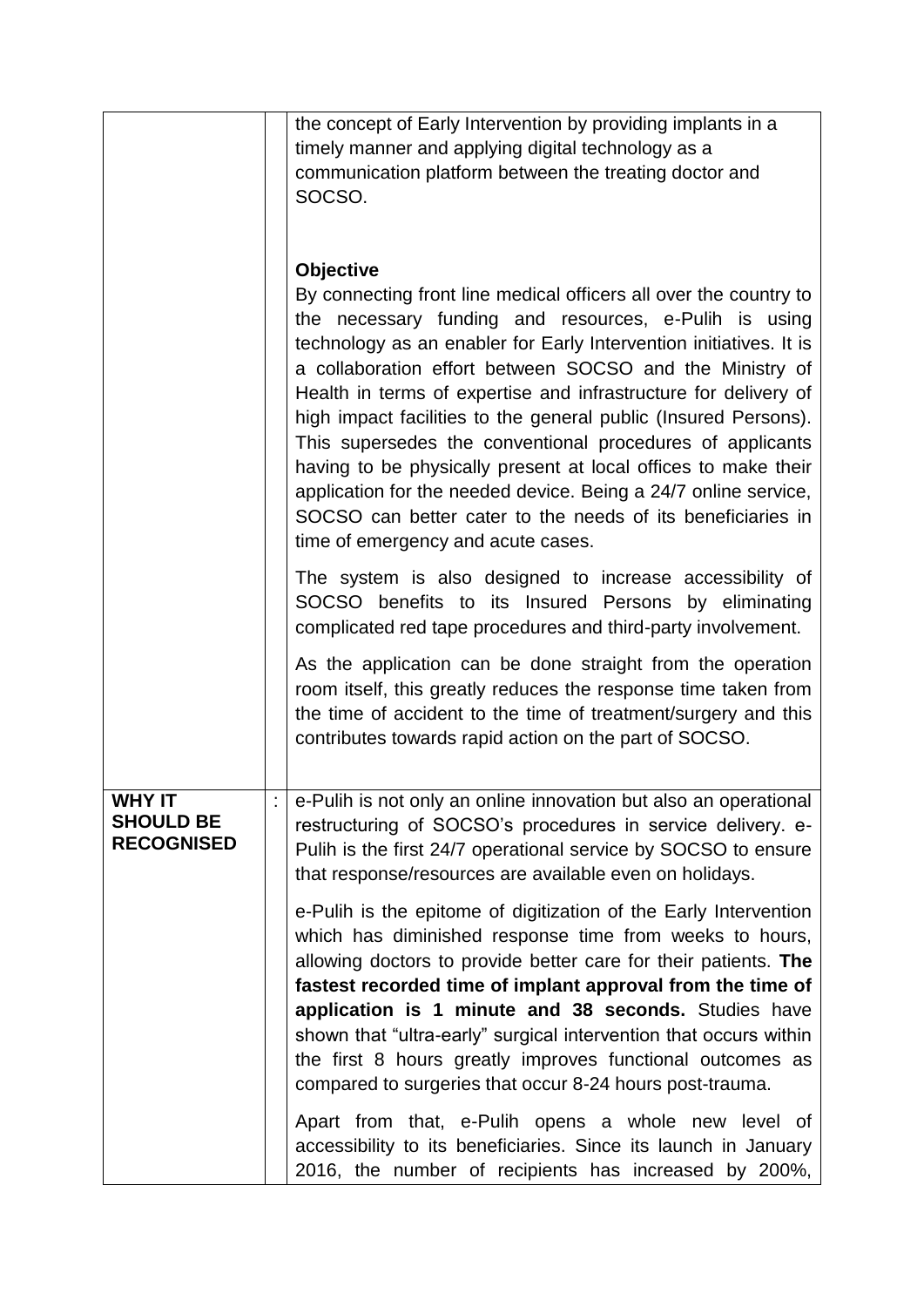|                   |            | the concept of Early Intervention by providing implants in a                                                                      |
|-------------------|------------|-----------------------------------------------------------------------------------------------------------------------------------|
|                   |            | timely manner and applying digital technology as a                                                                                |
|                   |            | communication platform between the treating doctor and<br>SOCSO.                                                                  |
|                   |            |                                                                                                                                   |
|                   |            |                                                                                                                                   |
|                   |            | <b>Objective</b>                                                                                                                  |
|                   |            | By connecting front line medical officers all over the country to                                                                 |
|                   |            | the necessary funding and resources, e-Pulih is using<br>technology as an enabler for Early Intervention initiatives. It is       |
|                   |            | a collaboration effort between SOCSO and the Ministry of                                                                          |
|                   |            | Health in terms of expertise and infrastructure for delivery of                                                                   |
|                   |            | high impact facilities to the general public (Insured Persons).                                                                   |
|                   |            | This supersedes the conventional procedures of applicants                                                                         |
|                   |            | having to be physically present at local offices to make their<br>application for the needed device. Being a 24/7 online service, |
|                   |            | SOCSO can better cater to the needs of its beneficiaries in                                                                       |
|                   |            | time of emergency and acute cases.                                                                                                |
|                   |            | The system is also designed to increase accessibility of                                                                          |
|                   |            | SOCSO benefits to its Insured Persons by eliminating                                                                              |
|                   |            | complicated red tape procedures and third-party involvement.                                                                      |
|                   |            | As the application can be done straight from the operation                                                                        |
|                   |            | room itself, this greatly reduces the response time taken from                                                                    |
|                   |            | the time of accident to the time of treatment/surgery and this<br>contributes towards rapid action on the part of SOCSO.          |
|                   |            |                                                                                                                                   |
| <b>WHY IT</b>     | $\epsilon$ | e-Pulih is not only an online innovation but also an operational                                                                  |
| <b>SHOULD BE</b>  |            | restructuring of SOCSO's procedures in service delivery. e-                                                                       |
| <b>RECOGNISED</b> |            | Pulih is the first 24/7 operational service by SOCSO to ensure                                                                    |
|                   |            | that response/resources are available even on holidays.                                                                           |
|                   |            | e-Pulih is the epitome of digitization of the Early Intervention                                                                  |
|                   |            | which has diminished response time from weeks to hours,                                                                           |
|                   |            | allowing doctors to provide better care for their patients. The                                                                   |
|                   |            | fastest recorded time of implant approval from the time of<br>application is 1 minute and 38 seconds. Studies have                |
|                   |            | shown that "ultra-early" surgical intervention that occurs within                                                                 |
|                   |            | the first 8 hours greatly improves functional outcomes as                                                                         |
|                   |            | compared to surgeries that occur 8-24 hours post-trauma.                                                                          |
|                   |            | Apart from that, e-Pulih opens a whole new level of                                                                               |
|                   |            | accessibility to its beneficiaries. Since its launch in January                                                                   |
|                   |            | 2016, the number of recipients has increased by 200%,                                                                             |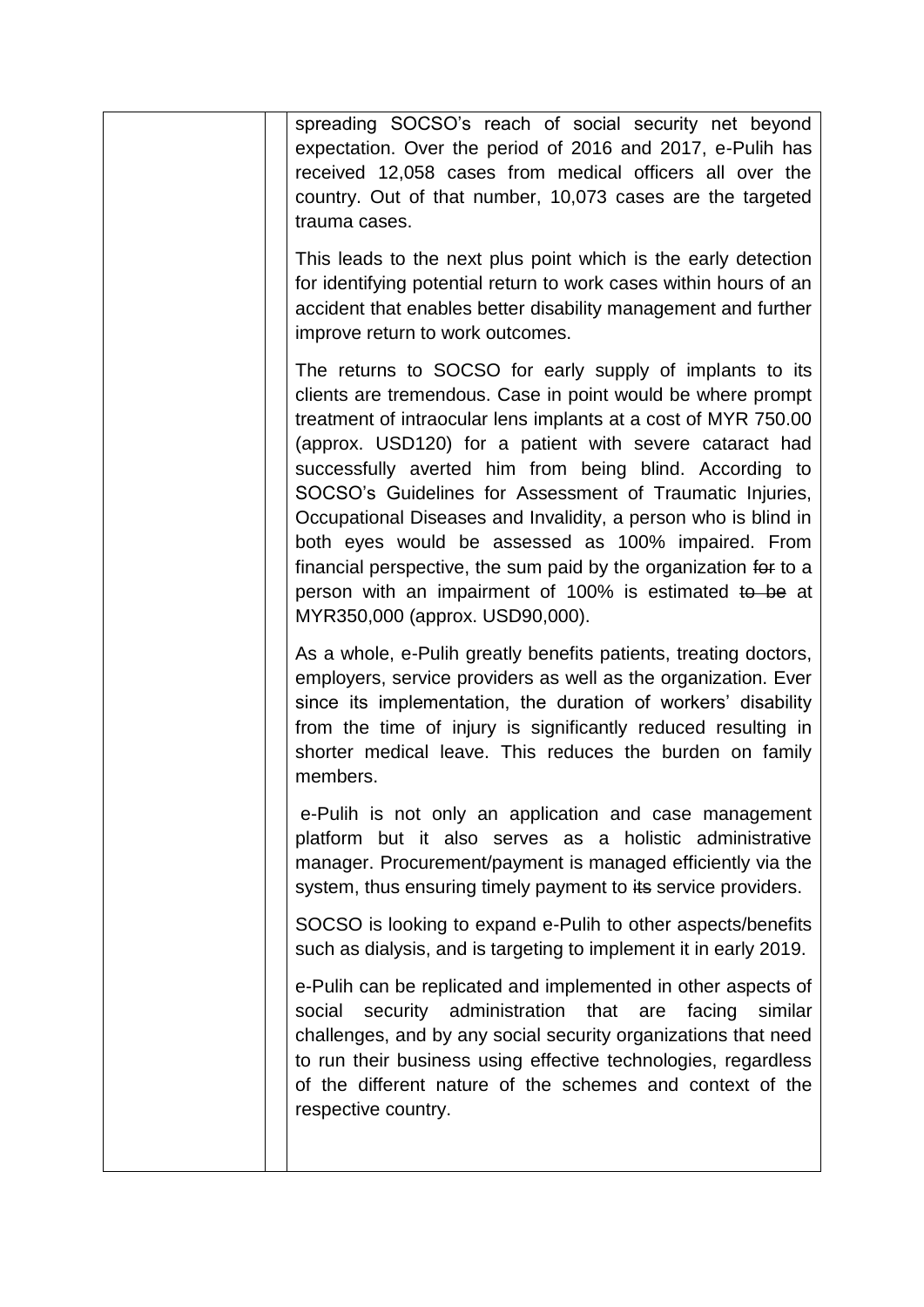| spreading SOCSO's reach of social security net beyond<br>expectation. Over the period of 2016 and 2017, e-Pulih has<br>received 12,058 cases from medical officers all over the<br>country. Out of that number, 10,073 cases are the targeted<br>trauma cases.                                                                                                                                                                                                                                                                                                                                                                                                        |
|-----------------------------------------------------------------------------------------------------------------------------------------------------------------------------------------------------------------------------------------------------------------------------------------------------------------------------------------------------------------------------------------------------------------------------------------------------------------------------------------------------------------------------------------------------------------------------------------------------------------------------------------------------------------------|
| This leads to the next plus point which is the early detection<br>for identifying potential return to work cases within hours of an<br>accident that enables better disability management and further<br>improve return to work outcomes.                                                                                                                                                                                                                                                                                                                                                                                                                             |
| The returns to SOCSO for early supply of implants to its<br>clients are tremendous. Case in point would be where prompt<br>treatment of intraocular lens implants at a cost of MYR 750.00<br>(approx. USD120) for a patient with severe cataract had<br>successfully averted him from being blind. According to<br>SOCSO's Guidelines for Assessment of Traumatic Injuries,<br>Occupational Diseases and Invalidity, a person who is blind in<br>both eyes would be assessed as 100% impaired. From<br>financial perspective, the sum paid by the organization for to a<br>person with an impairment of 100% is estimated to be at<br>MYR350,000 (approx. USD90,000). |
| As a whole, e-Pulih greatly benefits patients, treating doctors,<br>employers, service providers as well as the organization. Ever<br>since its implementation, the duration of workers' disability<br>from the time of injury is significantly reduced resulting in<br>shorter medical leave. This reduces the burden on family<br>members.                                                                                                                                                                                                                                                                                                                          |
| e-Pulih is not only an application and case management<br>platform but it also serves as a holistic administrative<br>manager. Procurement/payment is managed efficiently via the<br>system, thus ensuring timely payment to its service providers.                                                                                                                                                                                                                                                                                                                                                                                                                   |
| SOCSO is looking to expand e-Pulih to other aspects/benefits<br>such as dialysis, and is targeting to implement it in early 2019.                                                                                                                                                                                                                                                                                                                                                                                                                                                                                                                                     |
| e-Pulih can be replicated and implemented in other aspects of<br>security administration<br>facing<br>similar<br>social<br>that<br>are<br>challenges, and by any social security organizations that need<br>to run their business using effective technologies, regardless<br>of the different nature of the schemes and context of the<br>respective country.                                                                                                                                                                                                                                                                                                        |